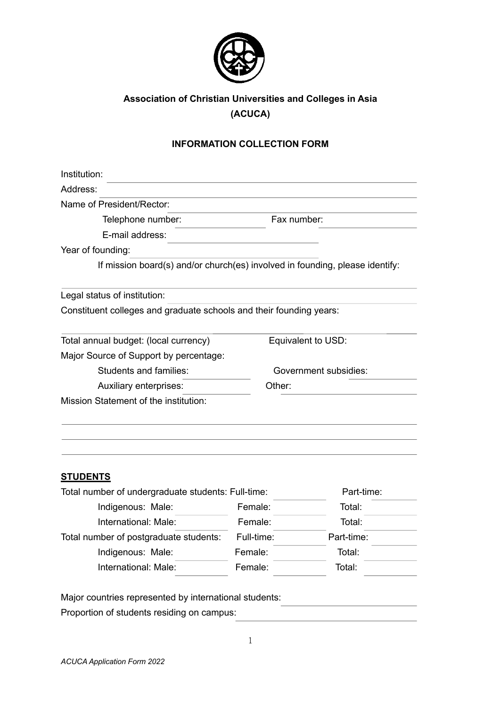

# **Association of Christian Universities and Colleges in Asia (ACUCA)**

## **INFORMATION COLLECTION FORM**

| Institution:                                                                 |                       |                    |
|------------------------------------------------------------------------------|-----------------------|--------------------|
| Address:                                                                     |                       |                    |
| Name of President/Rector:                                                    |                       |                    |
| Telephone number:                                                            | Fax number:           |                    |
| E-mail address:                                                              |                       |                    |
| Year of founding:                                                            |                       |                    |
| If mission board(s) and/or church(es) involved in founding, please identify: |                       |                    |
| Legal status of institution:                                                 |                       |                    |
| Constituent colleges and graduate schools and their founding years:          |                       |                    |
| Total annual budget: (local currency)                                        |                       | Equivalent to USD: |
| Major Source of Support by percentage:                                       |                       |                    |
| <b>Students and families:</b>                                                | Government subsidies: |                    |
| Auxiliary enterprises:                                                       | Other:                |                    |
| Mission Statement of the institution:                                        |                       |                    |
|                                                                              |                       |                    |
| <b>STUDENTS</b>                                                              |                       |                    |
| Total number of undergraduate students: Full-time:                           |                       | Part-time:         |
| Indigenous: Male:                                                            | Female:               | Total:             |
| International: Male:                                                         | Female:               | Total:             |
| Total number of postgraduate students:                                       | Full-time:            | Part-time:         |
| Indigenous: Male:                                                            | Female:               | Total:             |
| International: Male:                                                         | Female:               | Total:             |

Major countries represented by international students:

Proportion of students residing on campus: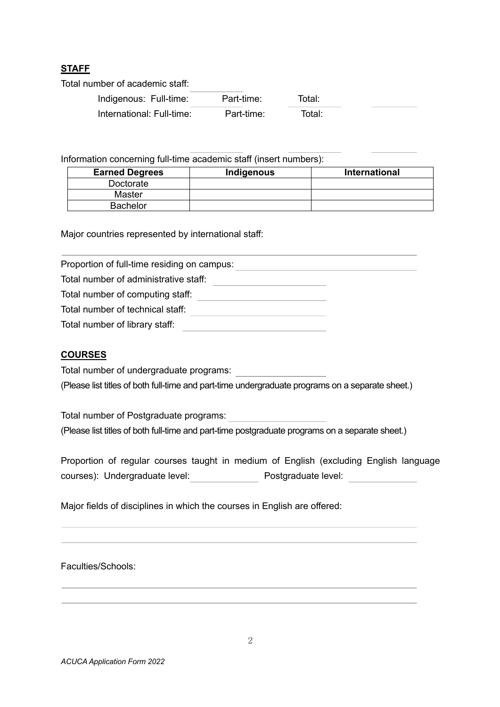# **STAFF**

Total number of academic staff:

| Indigenous: Full-time:    | Part-time: | Total: |  |
|---------------------------|------------|--------|--|
| International: Full-time: | Part-time: | Total: |  |

Information concerning full-time academic staff (insert numbers):

| <b>Earned Degrees</b> | Indigenous | <b>International</b> |
|-----------------------|------------|----------------------|
| Doctorate             |            |                      |
| Master                |            |                      |
| <b>Bachelor</b>       |            |                      |

Major countries represented by international staff:

Proportion of full-time residing on campus: Total number of administrative staff: \_\_\_\_\_\_\_\_\_\_\_ Total number of computing staff: Total number of technical staff: Total number of library staff:

#### **COURSES**

Total number of undergraduate programs:

(Please list titles of both full-time and part-time undergraduate programs on a separate sheet.)

Total number of Postgraduate programs: (Please list titles of both full-time and part-time postgraduate programs on a separate sheet.)

Proportion of regular courses taught in medium of English (excluding English language courses): Undergraduate level: Postgraduate level:

Major fields of disciplines in which the courses in English are offered:

Faculties/Schools: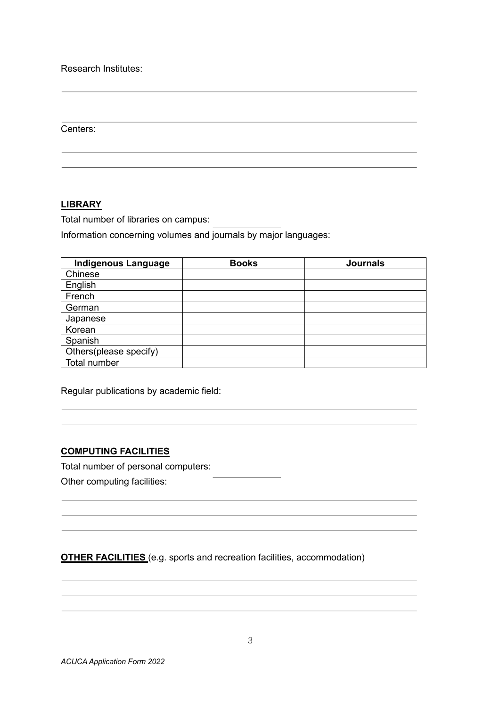Research Institutes:

Centers:

### **LIBRARY**

Total number of libraries on campus:

Information concerning volumes and journals by major languages:

| <b>Indigenous Language</b> | <b>Books</b> | <b>Journals</b> |
|----------------------------|--------------|-----------------|
| Chinese                    |              |                 |
| English                    |              |                 |
| French                     |              |                 |
| German                     |              |                 |
| Japanese                   |              |                 |
| Korean                     |              |                 |
| Spanish                    |              |                 |
| Others(please specify)     |              |                 |
| Total number               |              |                 |

Regular publications by academic field:

### **COMPUTING FACILITIES**

Total number of personal computers:

Other computing facilities:

**OTHER FACILITIES** (e.g. sports and recreation facilities, accommodation)